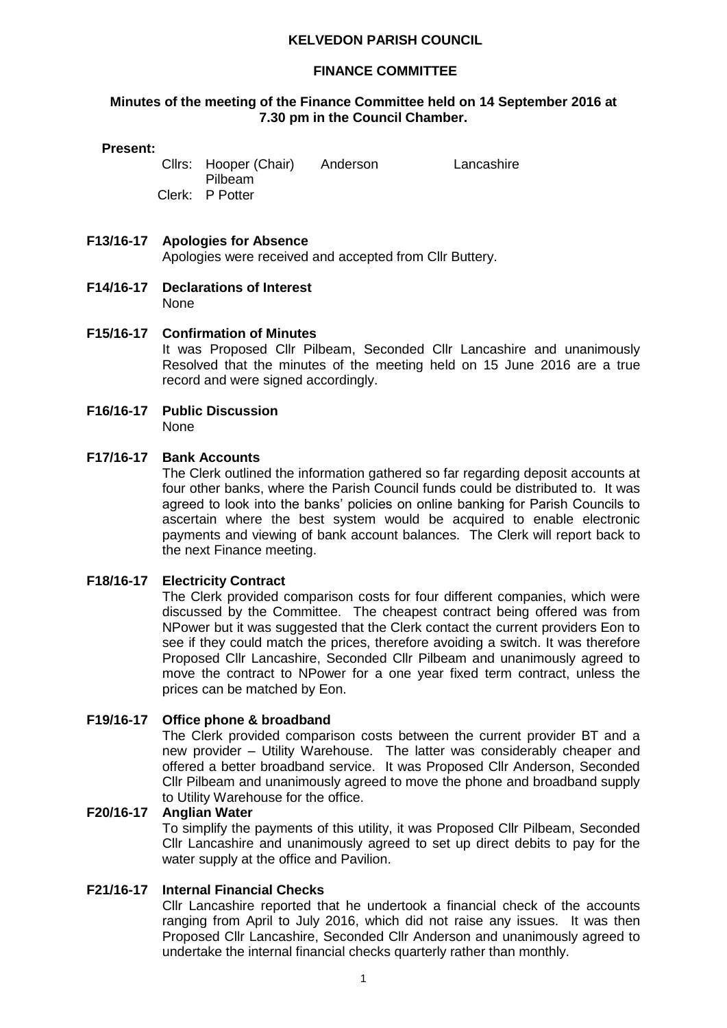#### **KELVEDON PARISH COUNCIL**

#### **FINANCE COMMITTEE**

## **Minutes of the meeting of the Finance Committee held on 14 September 2016 at 7.30 pm in the Council Chamber.**

#### **Present:**

Cllrs: Hooper (Chair) Anderson Lancashire Pilbeam Clerk: P Potter

### **F13/16-17 Apologies for Absence**

Apologies were received and accepted from Cllr Buttery.

**F14/16-17 Declarations of Interest** None

## **F15/16-17 Confirmation of Minutes**

It was Proposed Cllr Pilbeam, Seconded Cllr Lancashire and unanimously Resolved that the minutes of the meeting held on 15 June 2016 are a true record and were signed accordingly.

## **F16/16-17 Public Discussion** None

## **F17/16-17 Bank Accounts**

The Clerk outlined the information gathered so far regarding deposit accounts at four other banks, where the Parish Council funds could be distributed to. It was agreed to look into the banks' policies on online banking for Parish Councils to ascertain where the best system would be acquired to enable electronic payments and viewing of bank account balances. The Clerk will report back to the next Finance meeting.

## **F18/16-17 Electricity Contract**

The Clerk provided comparison costs for four different companies, which were discussed by the Committee. The cheapest contract being offered was from NPower but it was suggested that the Clerk contact the current providers Eon to see if they could match the prices, therefore avoiding a switch. It was therefore Proposed Cllr Lancashire, Seconded Cllr Pilbeam and unanimously agreed to move the contract to NPower for a one year fixed term contract, unless the prices can be matched by Eon.

#### **F19/16-17 Office phone & broadband**

The Clerk provided comparison costs between the current provider BT and a new provider – Utility Warehouse. The latter was considerably cheaper and offered a better broadband service. It was Proposed Cllr Anderson, Seconded Cllr Pilbeam and unanimously agreed to move the phone and broadband supply to Utility Warehouse for the office.

#### **F20/16-17 Anglian Water**

To simplify the payments of this utility, it was Proposed Cllr Pilbeam, Seconded Cllr Lancashire and unanimously agreed to set up direct debits to pay for the water supply at the office and Pavilion.

## **F21/16-17 Internal Financial Checks**

Cllr Lancashire reported that he undertook a financial check of the accounts ranging from April to July 2016, which did not raise any issues. It was then Proposed Cllr Lancashire, Seconded Cllr Anderson and unanimously agreed to undertake the internal financial checks quarterly rather than monthly.